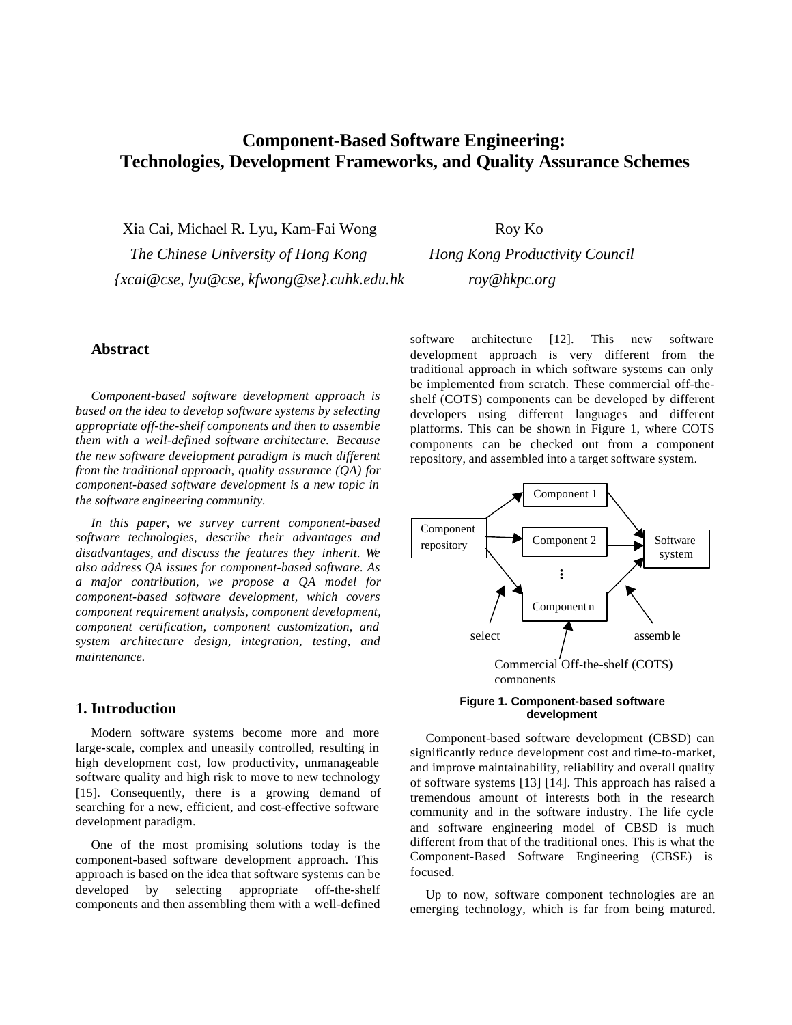# **Component-Based Software Engineering: Technologies, Development Frameworks, and Quality Assurance Schemes**

Xia Cai, Michael R. Lyu, Kam-Fai Wong Roy Ko

 *{xcai@cse, lyu@cse, kfwong@se}.cuhk.edu.hk roy@hkpc.org*

*The Chinese University of Hong Kong Hong Kong Productivity Council*

# **Abstract**

*Component-based software development approach is based on the idea to develop software systems by selecting appropriate off-the-shelf components and then to assemble them with a well-defined software architecture. Because the new software development paradigm is much different from the traditional approach, quality assurance (QA) for component-based software development is a new topic in the software engineering community.*

*In this paper, we survey current component-based software technologies, describe their advantages and disadvantages, and discuss the features they inherit. We also address QA issues for component-based software. As a major contribution, we propose a QA model for component-based software development, which covers component requirement analysis, component development, component certification, component customization, and system architecture design, integration, testing, and maintenance.*

## **1. Introduction**

Modern software systems become more and more large-scale, complex and uneasily controlled, resulting in high development cost, low productivity, unmanageable software quality and high risk to move to new technology [15]. Consequently, there is a growing demand of searching for a new, efficient, and cost-effective software development paradigm.

One of the most promising solutions today is the component-based software development approach. This approach is based on the idea that software systems can be developed by selecting appropriate off-the-shelf components and then assembling them with a well-defined

software architecture [12]. This new software development approach is very different from the traditional approach in which software systems can only be implemented from scratch. These commercial off-theshelf (COTS) components can be developed by different developers using different languages and different platforms. This can be shown in Figure 1, where COTS components can be checked out from a component repository, and assembled into a target software system.



#### **Figure 1. Component-based software development**

Component-based software development (CBSD) can significantly reduce development cost and time-to-market, and improve maintainability, reliability and overall quality of software systems [13] [14]. This approach has raised a tremendous amount of interests both in the research community and in the software industry. The life cycle and software engineering model of CBSD is much different from that of the traditional ones. This is what the Component-Based Software Engineering (CBSE) is focused. Example 1<br>
Select commercial Off-the-shelf (COTS)<br>
commercial Off-the-shelf (COTS)<br>
commonents<br>
Figure 1. Component-based software<br>
development<br>
Component-based software<br>
development<br>
component cost and time-to-market,<br>
an

Up to now, software component technologies are an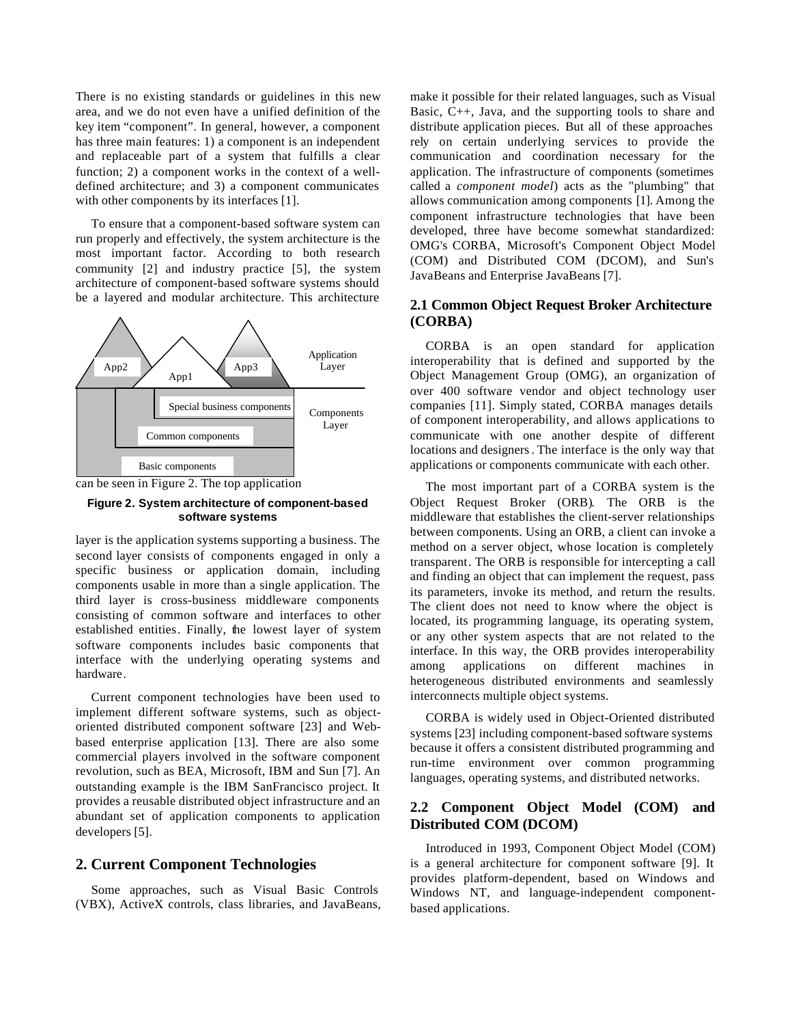There is no existing standards or guidelines in this new area, and we do not even have a unified definition of the key item "component". In general, however, a component has three main features: 1) a component is an independent and replaceable part of a system that fulfills a clear function; 2) a component works in the context of a welldefined architecture; and 3) a component communicates with other components by its interfaces [1].

To ensure that a component-based software system can run properly and effectively, the system architecture is the most important factor. According to both research community [2] and industry practice [5], the system architecture of component-based software systems should be a layered and modular architecture. This architecture





#### **Figure 2. System architecture of component-based software systems**

layer is the application systems supporting a business. The second layer consists of components engaged in only a specific business or application domain, including components usable in more than a single application. The third layer is cross-business middleware components consisting of common software and interfaces to other established entities. Finally, the lowest layer of system software components includes basic components that interface with the underlying operating systems and hardware.

Current component technologies have been used to implement different software systems, such as objectoriented distributed component software [23] and Webbased enterprise application [13]. There are also some commercial players involved in the software component revolution, such as BEA, Microsoft, IBM and Sun [7]. An outstanding example is the IBM SanFrancisco project. It provides a reusable distributed object infrastructure and an abundant set of application components to application developers [5].

### **2. Current Component Technologies**

Some approaches, such as Visual Basic Controls (VBX), ActiveX controls, class libraries, and JavaBeans,

make it possible for their related languages, such as Visual Basic, C++, Java, and the supporting tools to share and distribute application pieces. But all of these approaches rely on certain underlying services to provide the communication and coordination necessary for the application. The infrastructure of components (sometimes called a *component model*) acts as the "plumbing" that allows communication among components [1]. Among the component infrastructure technologies that have been developed, three have become somewhat standardized: OMG's CORBA, Microsoft's Component Object Model (COM) and Distributed COM (DCOM), and Sun's JavaBeans and Enterprise JavaBeans [7].

### **2.1 Common Object Request Broker Architecture (CORBA)**

CORBA is an open standard for application interoperability that is defined and supported by the Object Management Group (OMG), an organization of over 400 software vendor and object technology user companies [11]. Simply stated, CORBA manages details of component interoperability, and allows applications to communicate with one another despite of different locations and designers. The interface is the only way that applications or components communicate with each other.

The most important part of a CORBA system is the Object Request Broker (ORB). The ORB is the middleware that establishes the client-server relationships between components. Using an ORB, a client can invoke a method on a server object, whose location is completely transparent. The ORB is responsible for intercepting a call and finding an object that can implement the request, pass its parameters, invoke its method, and return the results. The client does not need to know where the object is located, its programming language, its operating system, or any other system aspects that are not related to the interface. In this way, the ORB provides interoperability among applications on different machines in heterogeneous distributed environments and seamlessly interconnects multiple object systems.

CORBA is widely used in Object-Oriented distributed systems [23] including component-based software systems because it offers a consistent distributed programming and run-time environment over common programming languages, operating systems, and distributed networks.

# **2.2 Component Object Model (COM) and Distributed COM (DCOM)**

Introduced in 1993, Component Object Model (COM) is a general architecture for component software [9]. It provides platform-dependent, based on Windows and Windows NT, and language-independent componentbased applications.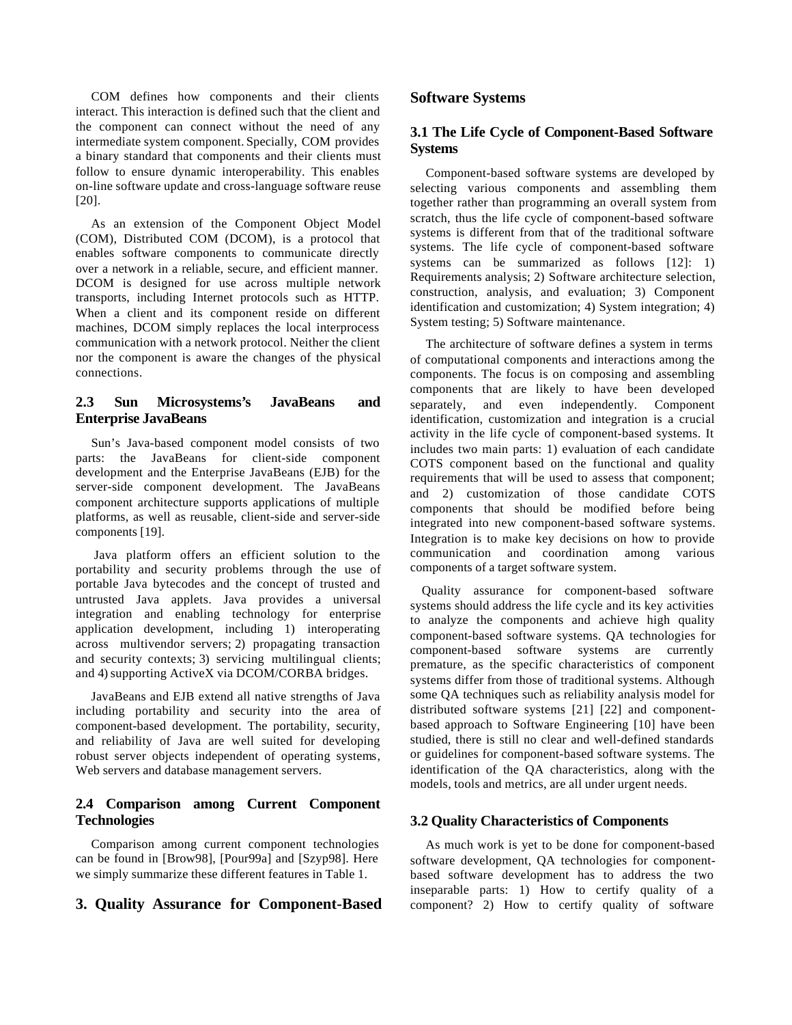COM defines how components and their clients interact. This interaction is defined such that the client and the component can connect without the need of any intermediate system component. Specially, COM provides a binary standard that components and their clients must follow to ensure dynamic interoperability. This enables on-line software update and cross-language software reuse [20].

As an extension of the Component Object Model (COM), Distributed COM (DCOM), is a protocol that enables software components to communicate directly over a network in a reliable, secure, and efficient manner. DCOM is designed for use across multiple network transports, including Internet protocols such as HTTP. When a client and its component reside on different machines, DCOM simply replaces the local interprocess communication with a network protocol. Neither the client nor the component is aware the changes of the physical connections.

### **2.3 Sun Microsystems's JavaBeans and Enterprise JavaBeans**

Sun's Java-based component model consists of two parts: the JavaBeans for client-side component development and the Enterprise JavaBeans (EJB) for the server-side component development. The JavaBeans component architecture supports applications of multiple platforms, as well as reusable, client-side and server-side components [19].

Java platform offers an efficient solution to the portability and security problems through the use of portable Java bytecodes and the concept of trusted and untrusted Java applets. Java provides a universal integration and enabling technology for enterprise application development, including 1) interoperating across multivendor servers; 2) propagating transaction and security contexts; 3) servicing multilingual clients; and 4) supporting ActiveX via DCOM/CORBA bridges.

JavaBeans and EJB extend all native strengths of Java including portability and security into the area of component-based development. The portability, security, and reliability of Java are well suited for developing robust server objects independent of operating systems, Web servers and database management servers.

# **2.4 Comparison among Current Component Technologies**

Comparison among current component technologies can be found in [Brow98], [Pour99a] and [Szyp98]. Here we simply summarize these different features in Table 1.

# **3. Quality Assurance for Component-Based**

### **Software Systems**

# **3.1 The Life Cycle of Component-Based Software Systems**

Component-based software systems are developed by selecting various components and assembling them together rather than programming an overall system from scratch, thus the life cycle of component-based software systems is different from that of the traditional software systems. The life cycle of component-based software systems can be summarized as follows [12]: 1) Requirements analysis; 2) Software architecture selection, construction, analysis, and evaluation; 3) Component identification and customization; 4) System integration; 4) System testing; 5) Software maintenance.

The architecture of software defines a system in terms of computational components and interactions among the components. The focus is on composing and assembling components that are likely to have been developed separately, and even independently. Component identification, customization and integration is a crucial activity in the life cycle of component-based systems. It includes two main parts: 1) evaluation of each candidate COTS component based on the functional and quality requirements that will be used to assess that component; and 2) customization of those candidate COTS components that should be modified before being integrated into new component-based software systems. Integration is to make key decisions on how to provide communication and coordination among various components of a target software system.

Quality assurance for component-based software systems should address the life cycle and its key activities to analyze the components and achieve high quality component-based software systems. QA technologies for component-based software systems are currently premature, as the specific characteristics of component systems differ from those of traditional systems. Although some QA techniques such as reliability analysis model for distributed software systems [21] [22] and componentbased approach to Software Engineering [10] have been studied, there is still no clear and well-defined standards or guidelines for component-based software systems. The identification of the QA characteristics, along with the models, tools and metrics, are all under urgent needs.

### **3.2 Quality Characteristics of Components**

As much work is yet to be done for component-based software development, QA technologies for componentbased software development has to address the two inseparable parts: 1) How to certify quality of a component? 2) How to certify quality of software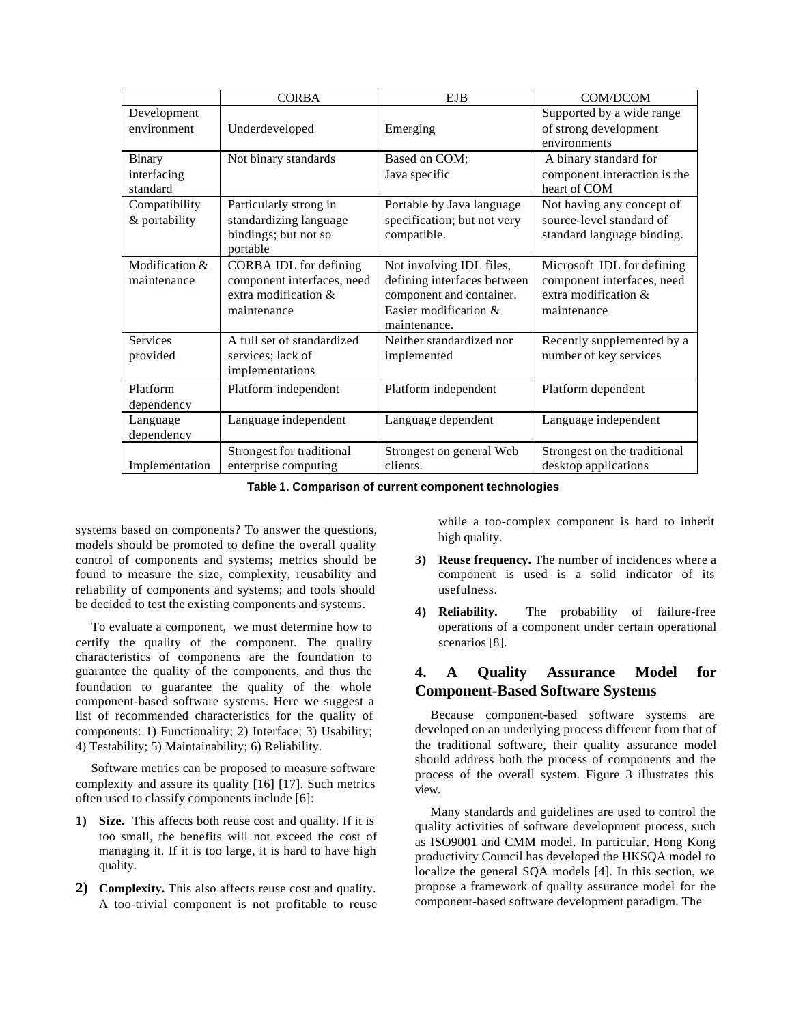|                                   | <b>CORBA</b>                                                                                | <b>EJB</b>                                                                                                                   | COM/DCOM                                                                                        |
|-----------------------------------|---------------------------------------------------------------------------------------------|------------------------------------------------------------------------------------------------------------------------------|-------------------------------------------------------------------------------------------------|
| Development<br>environment        | Underdeveloped                                                                              | Emerging                                                                                                                     | Supported by a wide range<br>of strong development<br>environments                              |
| Binary<br>interfacing<br>standard | Not binary standards                                                                        | Based on COM;<br>Java specific                                                                                               | A binary standard for<br>component interaction is the<br>heart of COM                           |
| Compatibility<br>& portability    | Particularly strong in<br>standardizing language<br>bindings; but not so<br>portable        | Portable by Java language<br>specification; but not very<br>compatible.                                                      | Not having any concept of<br>source-level standard of<br>standard language binding.             |
| Modification &<br>maintenance     | CORBA IDL for defining<br>component interfaces, need<br>extra modification &<br>maintenance | Not involving IDL files,<br>defining interfaces between<br>component and container.<br>Easier modification &<br>maintenance. | Microsoft IDL for defining<br>component interfaces, need<br>extra modification &<br>maintenance |
| <b>Services</b><br>provided       | A full set of standardized<br>services; lack of<br>implementations                          | Neither standardized nor<br>implemented                                                                                      | Recently supplemented by a<br>number of key services                                            |
| Platform<br>dependency            | Platform independent                                                                        | Platform independent                                                                                                         | Platform dependent                                                                              |
| Language<br>dependency            | Language independent                                                                        | Language dependent                                                                                                           | Language independent                                                                            |
| Implementation                    | Strongest for traditional<br>enterprise computing                                           | Strongest on general Web<br>clients.                                                                                         | Strongest on the traditional<br>desktop applications                                            |

**Table 1. Comparison of current component technologies**

systems based on components? To answer the questions, models should be promoted to define the overall quality control of components and systems; metrics should be found to measure the size, complexity, reusability and reliability of components and systems; and tools should be decided to test the existing components and systems.

To evaluate a component, we must determine how to certify the quality of the component. The quality characteristics of components are the foundation to guarantee the quality of the components, and thus the foundation to guarantee the quality of the whole component-based software systems. Here we suggest a list of recommended characteristics for the quality of components: 1) Functionality; 2) Interface; 3) Usability; 4) Testability; 5) Maintainability; 6) Reliability.

Software metrics can be proposed to measure software complexity and assure its quality [16] [17]. Such metrics often used to classify components include [6]:

- **1) Size.** This affects both reuse cost and quality. If it is too small, the benefits will not exceed the cost of managing it. If it is too large, it is hard to have high quality.
- **2) Complexity.** This also affects reuse cost and quality. A too-trivial component is not profitable to reuse

while a too-complex component is hard to inherit high quality.

- **3) Reuse frequency.** The number of incidences where a component is used is a solid indicator of its usefulness.
- **4) Reliability.** The probability of failure-free operations of a component under certain operational scenarios [8].

# **4. A Quality Assurance Model for Component-Based Software Systems**

Because component-based software systems are developed on an underlying process different from that of the traditional software, their quality assurance model should address both the process of components and the process of the overall system. Figure 3 illustrates this view.

Many standards and guidelines are used to control the quality activities of software development process, such as ISO9001 and CMM model. In particular, Hong Kong productivity Council has developed the HKSQA model to localize the general SQA models [4]. In this section, we propose a framework of quality assurance model for the component-based software development paradigm. The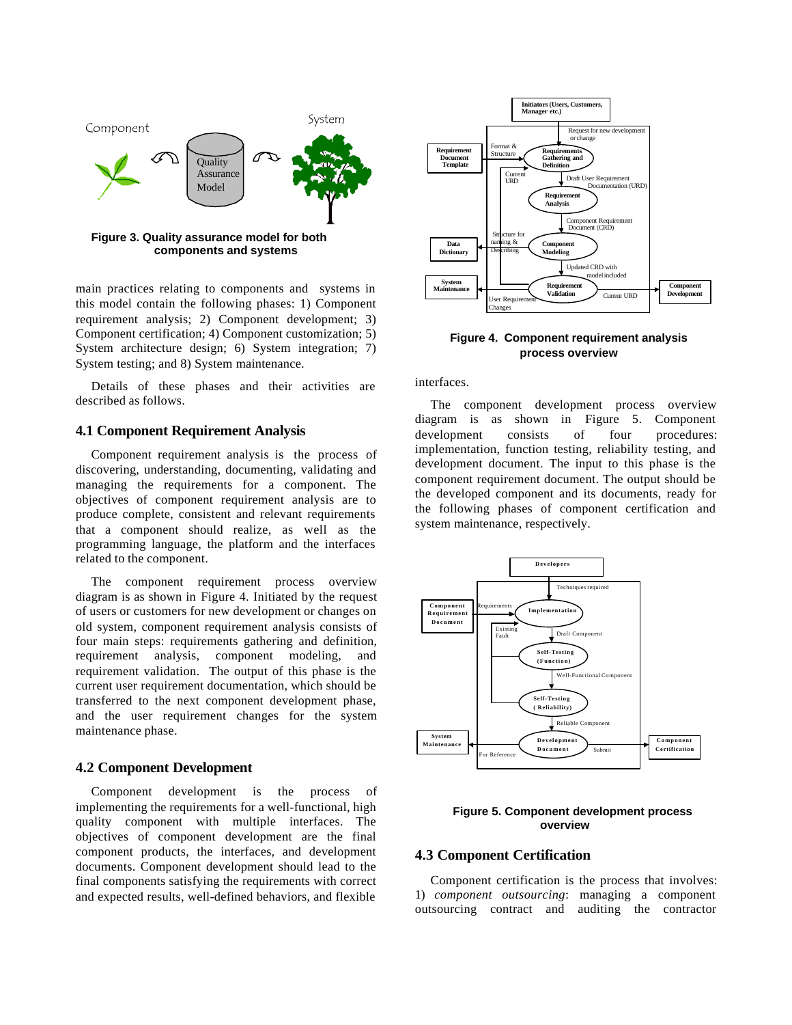

**components and systems**

main practices relating to components and systems in this model contain the following phases: 1) Component requirement analysis; 2) Component development; 3) Component certification; 4) Component customization; 5) System architecture design; 6) System integration; 7) System testing; and 8) System maintenance.

Details of these phases and their activities are described as follows.

### **4.1 Component Requirement Analysis**

Component requirement analysis is the process of discovering, understanding, documenting, validating and managing the requirements for a component. The objectives of component requirement analysis are to produce complete, consistent and relevant requirements that a component should realize, as well as the programming language, the platform and the interfaces related to the component.

The component requirement process overview diagram is as shown in Figure 4. Initiated by the request of users or customers for new development or changes on old system, component requirement analysis consists of four main steps: requirements gathering and definition, requirement analysis, component modeling, requirement validation. The output of this phase is the current user requirement documentation, which should be transferred to the next component development phase, and the user requirement changes for the system maintenance phase.

#### **4.2 Component Development**

Component development is the process of implementing the requirements for a well-functional, high quality component with multiple interfaces. The objectives of component development are the final component products, the interfaces, and development documents. Component development should lead to the final components satisfying the requirements with correct and expected results, well-defined behaviors, and flexible



**Figure 4. Component requirement analysis process overview**

interfaces.

The component development process overview diagram is as shown in Figure 5. Component development consists of four procedures: implementation, function testing, reliability testing, and development document. The input to this phase is the component requirement document. The output should be the developed component and its documents, ready for the following phases of component certification and system maintenance, respectively.



#### **Figure 5. Component development process overview**

### **4.3 Component Certification**

Component certification is the process that involves: 1) *component outsourcing*: managing a component outsourcing contract and auditing the contractor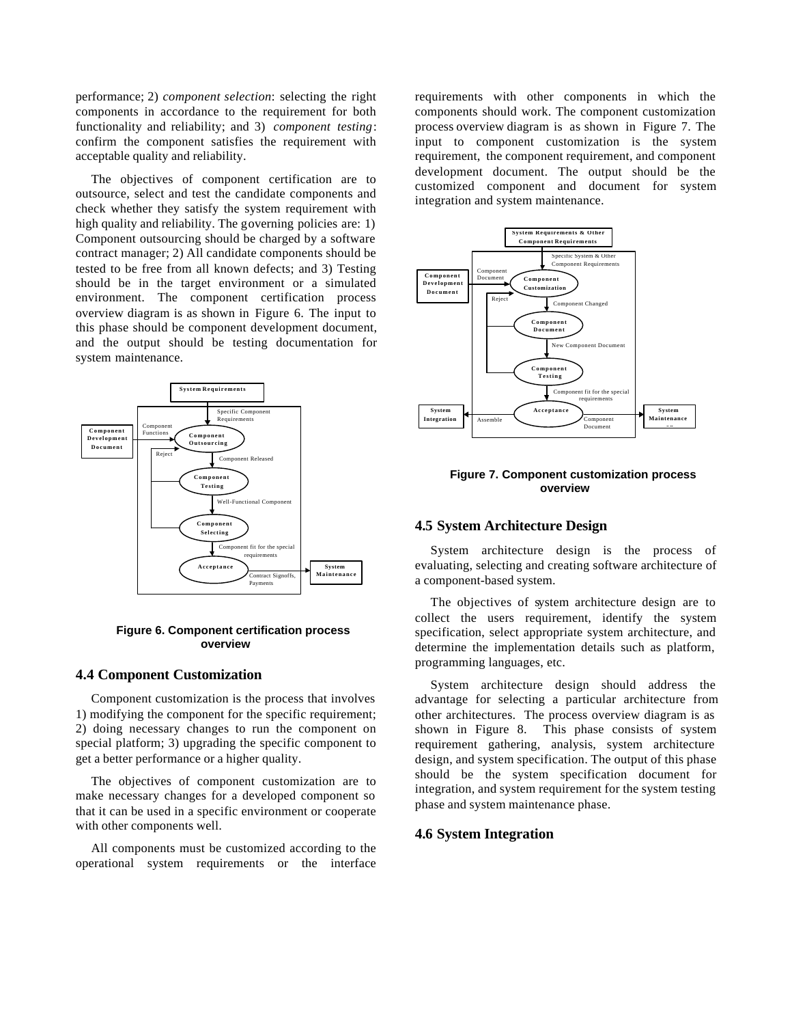performance; 2) *component selection*: selecting the right components in accordance to the requirement for both functionality and reliability; and 3) *component testing*: confirm the component satisfies the requirement with acceptable quality and reliability.

The objectives of component certification are to outsource, select and test the candidate components and check whether they satisfy the system requirement with high quality and reliability. The governing policies are: 1) Component outsourcing should be charged by a software contract manager; 2) All candidate components should be tested to be free from all known defects; and 3) Testing should be in the target environment or a simulated environment. The component certification process overview diagram is as shown in Figure 6. The input to this phase should be component development document, and the output should be testing documentation for system maintenance.



#### **Figure 6. Component certification process overview**

#### **4.4 Component Customization**

Component customization is the process that involves 1) modifying the component for the specific requirement; 2) doing necessary changes to run the component on special platform; 3) upgrading the specific component to get a better performance or a higher quality.

The objectives of component customization are to make necessary changes for a developed component so that it can be used in a specific environment or cooperate with other components well.

All components must be customized according to the operational system requirements or the interface

requirements with other components in which the components should work. The component customization process overview diagram is as shown in Figure 7. The input to component customization is the system requirement, the component requirement, and component development document. The output should be the customized component and document for system integration and system maintenance.



#### **Figure 7. Component customization process overview**

### **4.5 System Architecture Design**

System architecture design is the process of evaluating, selecting and creating software architecture of a component-based system.

The objectives of system architecture design are to collect the users requirement, identify the system specification, select appropriate system architecture, and determine the implementation details such as platform, programming languages, etc.

System architecture design should address the advantage for selecting a particular architecture from other architectures. The process overview diagram is as shown in Figure 8. This phase consists of system requirement gathering, analysis, system architecture design, and system specification. The output of this phase should be the system specification document for integration, and system requirement for the system testing phase and system maintenance phase.

### **4.6 System Integration**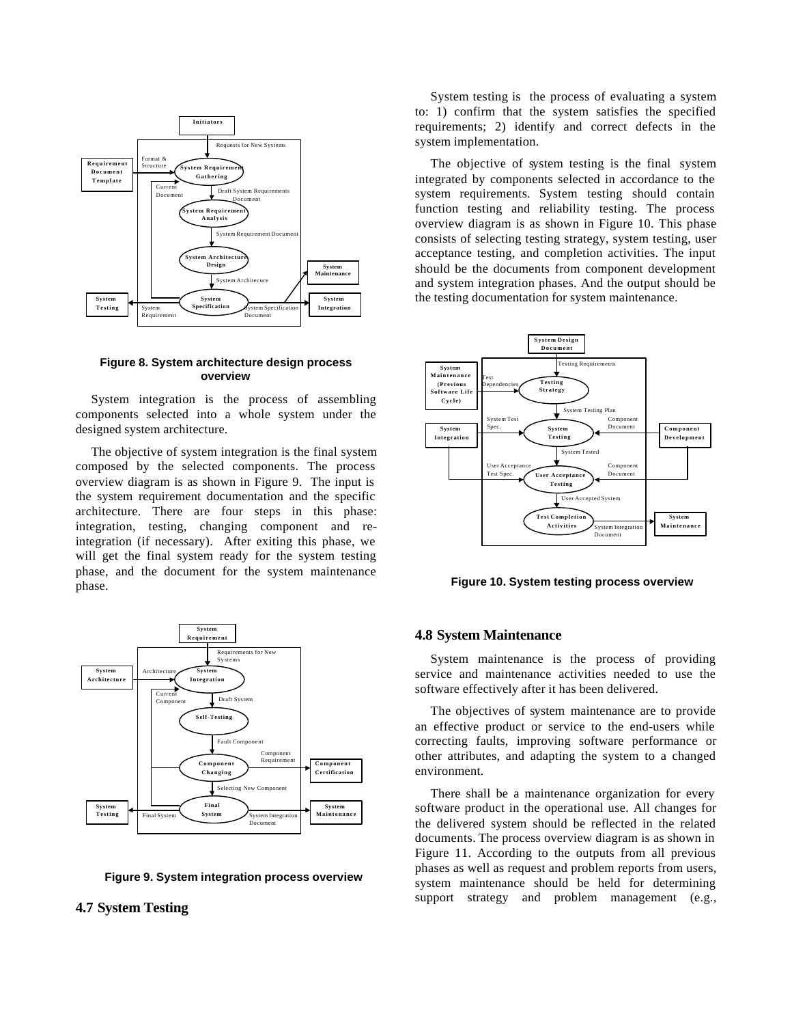

#### **Figure 8. System architecture design process overview**

System integration is the process of assembling components selected into a whole system under the designed system architecture.

The objective of system integration is the final system composed by the selected components. The process overview diagram is as shown in Figure 9. The input is the system requirement documentation and the specific architecture. There are four steps in this phase: integration, testing, changing component and reintegration (if necessary). After exiting this phase, we will get the final system ready for the system testing phase, and the document for the system maintenance phase.





**4.7 System Testing**

System testing is the process of evaluating a system to: 1) confirm that the system satisfies the specified requirements; 2) identify and correct defects in the system implementation.

The objective of system testing is the final system integrated by components selected in accordance to the system requirements. System testing should contain function testing and reliability testing. The process overview diagram is as shown in Figure 10. This phase consists of selecting testing strategy, system testing, user acceptance testing, and completion activities. The input should be the documents from component development and system integration phases. And the output should be the testing documentation for system maintenance.



**Figure 10. System testing process overview**

#### **4.8 System Maintenance**

System maintenance is the process of providing service and maintenance activities needed to use the software effectively after it has been delivered.

The objectives of system maintenance are to provide an effective product or service to the end-users while correcting faults, improving software performance or other attributes, and adapting the system to a changed environment.

There shall be a maintenance organization for every software product in the operational use. All changes for the delivered system should be reflected in the related documents. The process overview diagram is as shown in Figure 11. According to the outputs from all previous phases as well as request and problem reports from users, system maintenance should be held for determining support strategy and problem management (e.g.,